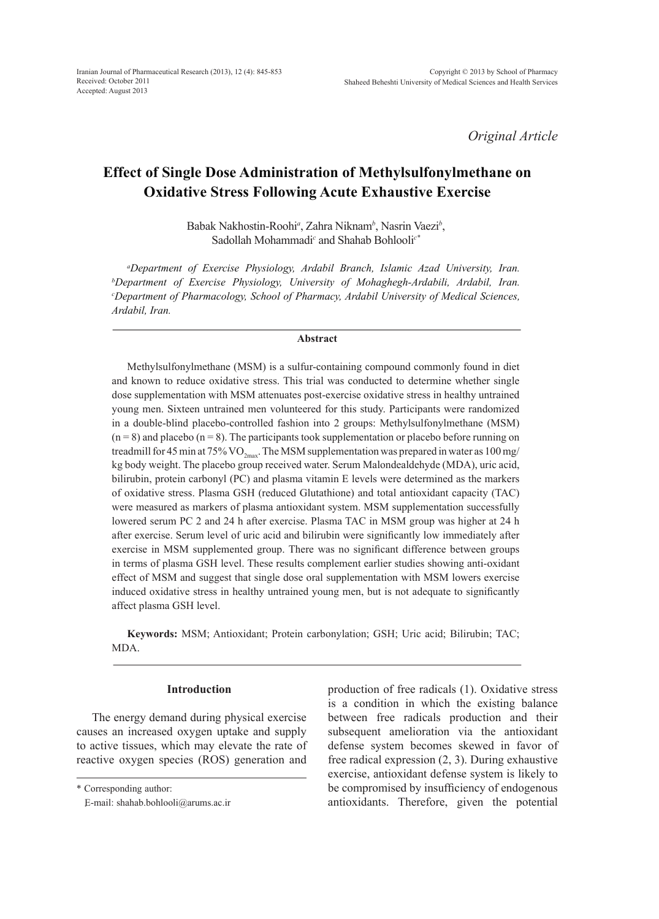*Original Article*

# **Effect of Single Dose Administration of Methylsulfonylmethane on Oxidative Stress Following Acute Exhaustive Exercise**

Babak Nakhostin-Roohi*<sup>a</sup>* , Zahra Niknam*<sup>b</sup>* , Nasrin Vaezi*<sup>b</sup>* , Sadollah Mohammadi<sup>c</sup> and Shahab Bohlooli<sup>c</sub>\*</sup>

*a Department of Exercise Physiology, Ardabil Branch, Islamic Azad University, Iran. b Department of Exercise Physiology, University of Mohaghegh-Ardabili, Ardabil, Iran. c Department of Pharmacology, School of Pharmacy, Ardabil University of Medical Sciences, Ardabil, Iran.*

#### **Abstract**

Methylsulfonylmethane (MSM) is a sulfur-containing compound commonly found in diet and known to reduce oxidative stress. This trial was conducted to determine whether single dose supplementation with MSM attenuates post-exercise oxidative stress in healthy untrained young men. Sixteen untrained men volunteered for this study. Participants were randomized in a double-blind placebo-controlled fashion into 2 groups: Methylsulfonylmethane (MSM)  $(n = 8)$  and placebo  $(n = 8)$ . The participants took supplementation or placebo before running on treadmill for 45 min at 75% VO<sub>2max</sub>. The MSM supplementation was prepared in water as 100 mg/ kg body weight. The placebo group received water. Serum Malondealdehyde (MDA), uric acid, bilirubin, protein carbonyl (PC) and plasma vitamin E levels were determined as the markers of oxidative stress. Plasma GSH (reduced Glutathione) and total antioxidant capacity (TAC) were measured as markers of plasma antioxidant system. MSM supplementation successfully lowered serum PC 2 and 24 h after exercise. Plasma TAC in MSM group was higher at 24 h after exercise. Serum level of uric acid and bilirubin were significantly low immediately after exercise in MSM supplemented group. There was no significant difference between groups in terms of plasma GSH level. These results complement earlier studies showing anti-oxidant effect of MSM and suggest that single dose oral supplementation with MSM lowers exercise induced oxidative stress in healthy untrained young men, but is not adequate to significantly affect plasma GSH level.

**Keywords:** MSM; Antioxidant; Protein carbonylation; GSH; Uric acid; Bilirubin; TAC; MDA.

# **Introduction**

The energy demand during physical exercise causes an increased oxygen uptake and supply to active tissues, which may elevate the rate of reactive oxygen species (ROS) generation and production of free radicals (1). Oxidative stress is a condition in which the existing balance between free radicals production and their subsequent amelioration via the antioxidant defense system becomes skewed in favor of free radical expression (2, 3). During exhaustive exercise, antioxidant defense system is likely to be compromised by insufficiency of endogenous antioxidants. Therefore, given the potential

<sup>\*</sup> Corresponding author:

 <sup>ٍ</sup>E-mail: shahab.bohlooli@arums.ac.ir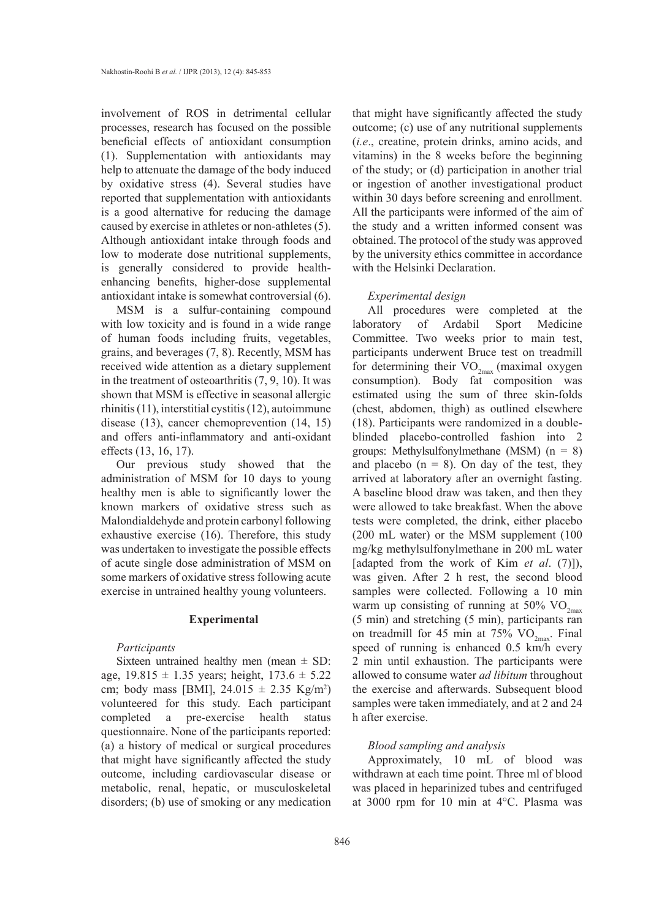involvement of ROS in detrimental cellular processes, research has focused on the possible beneficial effects of antioxidant consumption (1). Supplementation with antioxidants may help to attenuate the damage of the body induced by oxidative stress (4). Several studies have reported that supplementation with antioxidants is a good alternative for reducing the damage caused by exercise in athletes or non-athletes (5). Although antioxidant intake through foods and low to moderate dose nutritional supplements, is generally considered to provide healthenhancing benefits, higher-dose supplemental antioxidant intake is somewhat controversial (6).

MSM is a sulfur-containing compound with low toxicity and is found in a wide range of human foods including fruits, vegetables, grains, and beverages (7, 8). Recently, MSM has received wide attention as a dietary supplement in the treatment of osteoarthritis (7, 9, 10). It was shown that MSM is effective in seasonal allergic rhinitis (11), interstitial cystitis (12), autoimmune disease (13), cancer chemoprevention (14, 15) and offers anti-inflammatory and anti-oxidant effects (13, 16, 17).

Our previous study showed that the administration of MSM for 10 days to young healthy men is able to significantly lower the known markers of oxidative stress such as Malondialdehyde and protein carbonyl following exhaustive exercise (16). Therefore, this study was undertaken to investigate the possible effects of acute single dose administration of MSM on some markers of oxidative stress following acute exercise in untrained healthy young volunteers.

## **Experimental**

## *Participants*

Sixteen untrained healthy men (mean  $\pm$  SD: age,  $19.815 \pm 1.35$  years; height,  $173.6 \pm 5.22$ cm; body mass [BMI],  $24.015 \pm 2.35$  Kg/m<sup>2</sup>) volunteered for this study. Each participant completed a pre-exercise health status questionnaire. None of the participants reported: (a) a history of medical or surgical procedures that might have significantly affected the study outcome, including cardiovascular disease or metabolic, renal, hepatic, or musculoskeletal disorders; (b) use of smoking or any medication

that might have significantly affected the study outcome; (c) use of any nutritional supplements (*i.e*., creatine, protein drinks, amino acids, and vitamins) in the 8 weeks before the beginning of the study; or (d) participation in another trial or ingestion of another investigational product within 30 days before screening and enrollment. All the participants were informed of the aim of the study and a written informed consent was obtained. The protocol of the study was approved by the university ethics committee in accordance with the Helsinki Declaration.

#### *Experimental design*

All procedures were completed at the laboratory of Ardabil Sport Medicine Committee. Two weeks prior to main test, participants underwent Bruce test on treadmill for determining their  $VO_{2max}$  (maximal oxygen consumption). Body fat composition was estimated using the sum of three skin-folds (chest, abdomen, thigh) as outlined elsewhere (18). Participants were randomized in a doubleblinded placebo-controlled fashion into 2 groups: Methylsulfonylmethane (MSM)  $(n = 8)$ and placebo  $(n = 8)$ . On day of the test, they arrived at laboratory after an overnight fasting. A baseline blood draw was taken, and then they were allowed to take breakfast. When the above tests were completed, the drink, either placebo (200 mL water) or the MSM supplement (100 mg/kg methylsulfonylmethane in 200 mL water [adapted from the work of Kim *et al*. (7)]), was given. After 2 h rest, the second blood samples were collected. Following a 10 min warm up consisting of running at 50%  $\rm VO_{2max}$ (5 min) and stretching (5 min), participants ran on treadmill for 45 min at 75%  $VO_{2\text{max}}$ . Final speed of running is enhanced 0.5 km/h every 2 min until exhaustion. The participants were allowed to consume water *ad libitum* throughout the exercise and afterwards. Subsequent blood samples were taken immediately, and at 2 and 24 h after exercise.

# *Blood sampling and analysis*

Approximately, 10 mL of blood was withdrawn at each time point. Three ml of blood was placed in heparinized tubes and centrifuged at 3000 rpm for 10 min at 4°C. Plasma was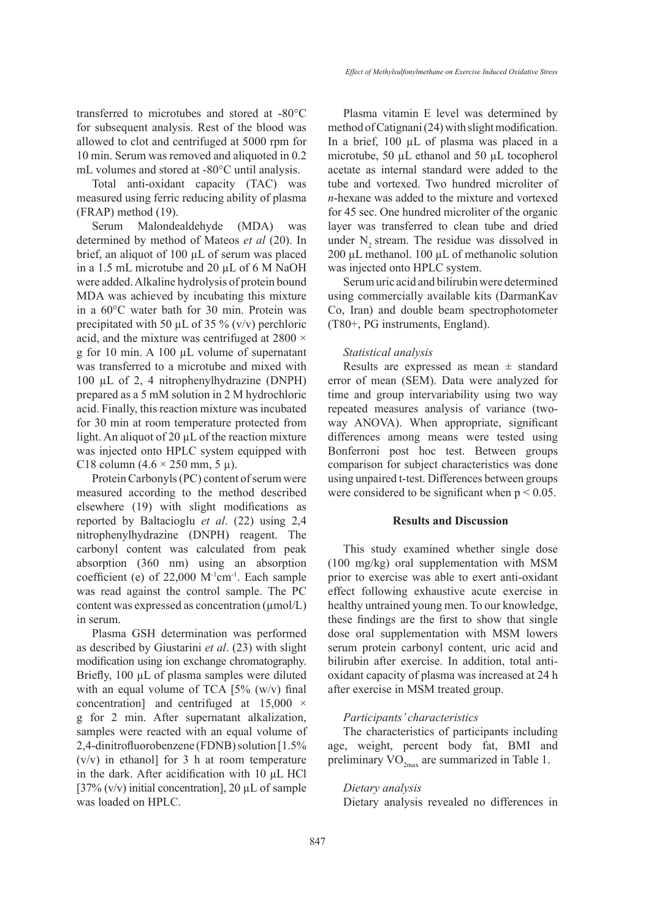mL volumes and stored at -80°C until analysis. Total anti-oxidant capacity (TAC) was measured using ferric reducing ability of plasma (FRAP) method (19).

10 min. Serum was removed and aliquoted in 0.2

Serum Malondealdehyde (MDA) was determined by method of Mateos *et al* (20). In brief, an aliquot of 100 µL of serum was placed in a 1.5 mL microtube and 20 µL of 6 M NaOH were added. Alkaline hydrolysis of protein bound MDA was achieved by incubating this mixture in a 60°C water bath for 30 min. Protein was precipitated with 50  $\mu$ L of 35 % (v/v) perchloric acid, and the mixture was centrifuged at  $2800 \times$ g for 10 min. A 100 µL volume of supernatant was transferred to a microtube and mixed with 100 µL of 2, 4 nitrophenylhydrazine (DNPH) prepared as a 5 mM solution in 2 M hydrochloric acid. Finally, this reaction mixture was incubated for 30 min at room temperature protected from light. An aliquot of 20 µL of the reaction mixture was injected onto HPLC system equipped with C18 column  $(4.6 \times 250$  mm, 5  $\mu$ ).

Protein Carbonyls (PC) content of serum were measured according to the method described elsewhere (19) with slight modifications as reported by Baltacioglu *et al*. (22) using 2,4 nitrophenylhydrazine (DNPH) reagent. The carbonyl content was calculated from peak absorption (360 nm) using an absorption coefficient (e) of 22,000 M-1cm-1. Each sample was read against the control sample. The PC content was expressed as concentration  $(\mu \text{mol/L})$ in serum.

Plasma GSH determination was performed as described by Giustarini *et al*. (23) with slight modification using ion exchange chromatography. Briefly, 100 µL of plasma samples were diluted with an equal volume of TCA  $[5\%$  (w/v) final concentration] and centrifuged at  $15,000 \times$ g for 2 min. After supernatant alkalization, samples were reacted with an equal volume of 2,4-dinitrofluorobenzene (FDNB) solution [1.5%  $(v/v)$  in ethanol] for 3 h at room temperature in the dark. After acidification with 10 µL HCl [37% (v/v) initial concentration], 20  $\mu$ L of sample was loaded on HPLC.

Plasma vitamin E level was determined by method of Catignani (24) with slight modification. In a brief, 100 µL of plasma was placed in a microtube, 50 µL ethanol and 50 µL tocopherol acetate as internal standard were added to the tube and vortexed. Two hundred microliter of *n*-hexane was added to the mixture and vortexed for 45 sec. One hundred microliter of the organic layer was transferred to clean tube and dried under  $N<sub>2</sub>$  stream. The residue was dissolved in 200  $\mu$ L methanol. 100  $\mu$ L of methanolic solution was injected onto HPLC system.

Serum uric acid and bilirubin were determined using commercially available kits (DarmanKav Co, Iran) and double beam spectrophotometer (T80+, PG instruments, England).

## *Statistical analysis*

Results are expressed as mean  $\pm$  standard error of mean (SEM). Data were analyzed for time and group intervariability using two way repeated measures analysis of variance (twoway ANOVA). When appropriate, significant differences among means were tested using Bonferroni post hoc test. Between groups comparison for subject characteristics was done using unpaired t-test. Differences between groups were considered to be significant when  $p < 0.05$ .

# **Results and Discussion**

This study examined whether single dose (100 mg/kg) oral supplementation with MSM prior to exercise was able to exert anti-oxidant effect following exhaustive acute exercise in healthy untrained young men. To our knowledge, these findings are the first to show that single dose oral supplementation with MSM lowers serum protein carbonyl content, uric acid and bilirubin after exercise. In addition, total antioxidant capacity of plasma was increased at 24 h after exercise in MSM treated group.

# *Participants' characteristics*

The characteristics of participants including age, weight, percent body fat, BMI and preliminary  $VO_{2m}$  are summarized in Table 1.

# *Dietary analysis*

Dietary analysis revealed no differences in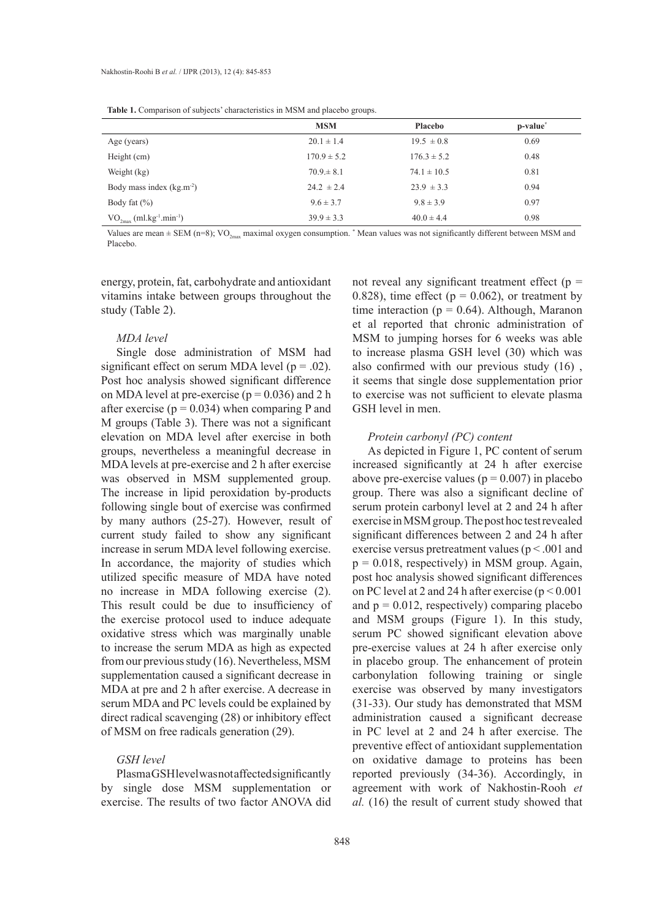|                                                                          | <b>MSM</b>      | Placebo         | p-value <sup>*</sup> |
|--------------------------------------------------------------------------|-----------------|-----------------|----------------------|
| Age (years)                                                              | $20.1 \pm 1.4$  | $19.5 \pm 0.8$  | 0.69                 |
| Height (cm)                                                              | $170.9 \pm 5.2$ | $176.3 \pm 5.2$ | 0.48                 |
| Weight (kg)                                                              | $70.9 \pm 8.1$  | $74.1 \pm 10.5$ | 0.81                 |
| Body mass index $(kg.m^{-2})$                                            | $24.2 \pm 2.4$  | $23.9 \pm 3.3$  | 0.94                 |
| Body fat $(\% )$                                                         | $9.6 \pm 3.7$   | $9.8 \pm 3.9$   | 0.97                 |
| $\mathrm{VO}_{2\mathrm{max}}$<br>$(m1 \text{ kg}^{-1} \text{ min}^{-1})$ | $39.9 \pm 3.3$  | $40.0 \pm 4.4$  | 0.98                 |

Values are mean  $\pm$  SEM (n=8); VO<sub>2max</sub> maximal oxygen consumption. <sup>\*</sup> Mean values was not significantly different between MSM and Placebo.

energy, protein, fat, carbohydrate and antioxidant vitamins intake between groups throughout the study (Table 2).

#### *MDA level*

Single dose administration of MSM had significant effect on serum MDA level ( $p = .02$ ). Post hoc analysis showed significant difference on MDA level at pre-exercise ( $p = 0.036$ ) and 2 h after exercise ( $p = 0.034$ ) when comparing P and M groups (Table 3). There was not a significant elevation on MDA level after exercise in both groups, nevertheless a meaningful decrease in MDA levels at pre-exercise and 2 h after exercise was observed in MSM supplemented group. The increase in lipid peroxidation by-products following single bout of exercise was confirmed by many authors (25-27). However, result of current study failed to show any significant increase in serum MDA level following exercise. In accordance, the majority of studies which utilized specific measure of MDA have noted no increase in MDA following exercise (2). This result could be due to insufficiency of the exercise protocol used to induce adequate oxidative stress which was marginally unable to increase the serum MDA as high as expected from our previous study (16). Nevertheless, MSM supplementation caused a significant decrease in MDA at pre and 2 h after exercise. A decrease in serum MDA and PC levels could be explained by direct radical scavenging (28) or inhibitory effect of MSM on free radicals generation (29).

# *GSH level*

Plasma GSH level was not affected significantly by single dose MSM supplementation or exercise. The results of two factor ANOVA did not reveal any significant treatment effect ( $p =$ 0.828), time effect ( $p = 0.062$ ), or treatment by time interaction ( $p = 0.64$ ). Although, Maranon et al reported that chronic administration of MSM to jumping horses for 6 weeks was able to increase plasma GSH level (30) which was also confirmed with our previous study (16) , it seems that single dose supplementation prior to exercise was not sufficient to elevate plasma GSH level in men.

#### *Protein carbonyl (PC) content*

As depicted in Figure 1, PC content of serum increased significantly at 24 h after exercise above pre-exercise values ( $p = 0.007$ ) in placebo group. There was also a significant decline of serum protein carbonyl level at 2 and 24 h after exercise in MSM group. The post hoc test revealed significant differences between 2 and 24 h after exercise versus pretreatment values (p < .001 and  $p = 0.018$ , respectively) in MSM group. Again, post hoc analysis showed significant differences on PC level at 2 and 24 h after exercise ( $p < 0.001$ ) and  $p = 0.012$ , respectively) comparing placebo and MSM groups (Figure 1). In this study, serum PC showed significant elevation above pre-exercise values at 24 h after exercise only in placebo group. The enhancement of protein carbonylation following training or single exercise was observed by many investigators (31-33). Our study has demonstrated that MSM administration caused a significant decrease in PC level at 2 and 24 h after exercise. The preventive effect of antioxidant supplementation on oxidative damage to proteins has been reported previously (34-36). Accordingly, in agreement with work of Nakhostin-Rooh *et al.* (16) the result of current study showed that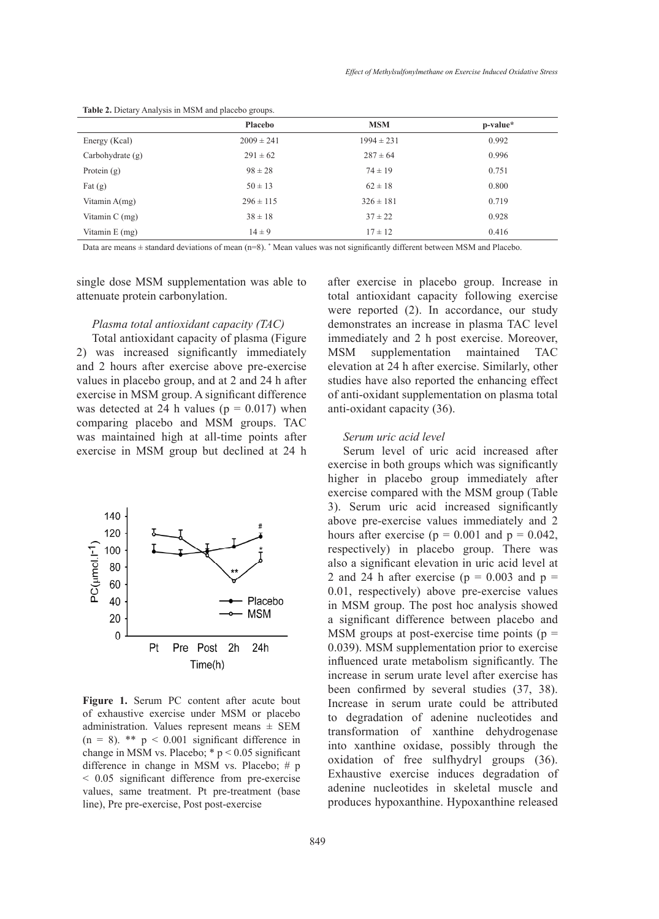|                    | <b>Placebo</b> | <b>MSM</b>     | p-value* |
|--------------------|----------------|----------------|----------|
| Energy (Kcal)      | $2009 \pm 241$ | $1994 \pm 231$ | 0.992    |
| Carbohydrate $(g)$ | $291 \pm 62$   | $287 \pm 64$   | 0.996    |
| Protein $(g)$      | $98 \pm 28$    | $74 \pm 19$    | 0.751    |
| Fat $(g)$          | $50 \pm 13$    | $62 \pm 18$    | 0.800    |
| Vitamin $A(mg)$    | $296 \pm 115$  | $326 \pm 181$  | 0.719    |
| Vitamin $C$ (mg)   | $38 \pm 18$    | $37 \pm 22$    | 0.928    |
| Vitamin $E$ (mg)   | $14 \pm 9$     | $17 \pm 12$    | 0.416    |

**Table 2.** Dietary Analysis in MSM and placebo groups.

Data are means ± standard deviations of mean (n=8). \* Mean values was not significantly different between MSM and Placebo.

single dose MSM supplementation was able to attenuate protein carbonylation.

# *Plasma total antioxidant capacity (TAC)*

Total antioxidant capacity of plasma (Figure 2) was increased significantly immediately and 2 hours after exercise above pre-exercise values in placebo group, and at 2 and 24 h after exercise in MSM group. A significant difference was detected at 24 h values ( $p = 0.017$ ) when comparing placebo and MSM groups. TAC was maintained high at all-time points after exercise in MSM group but declined at 24 h



**Figure 1.** Serum PC content after acute bout increase in serum urate c administration. Values represent means  $\pm$  SEM  $\pm$  transformation. of xanthu difference in change in MSM vs. Placebo;  $\# p$  and  $\alpha$  pre-treatment (base of prevalues, same treatment. Pt pre-treatment (base of exhaustive exercise under MSM or placebo  $(n = 8)$ . \*\*  $p < 0.001$  significant difference in change in MSM vs. Placebo; \* p < 0.05 significant < 0.05 significant difference from pre-exercise line), Pre pre-exercise, Post post-exercise

after exercise in placebo group. Increase in total antioxidant capacity following exercise were reported (2). In accordance, our study demonstrates an increase in plasma TAC level immediately and 2 h post exercise. Moreover, MSM supplementation maintained TAC elevation at 24 h after exercise. Similarly, other studies have also reported the enhancing effect of anti-oxidant supplementation on plasma total anti-oxidant capacity (36).

# *Serum uric acid level*

Serum level of uric acid increased after exercise in both groups which was significantly higher in placebo group immediately after exercise compared with the MSM group (Table 3). Serum uric acid increased significantly above pre-exercise values immediately and 2 hours after exercise ( $p = 0.001$  and  $p = 0.042$ , respectively) in placebo group. There was also a significant elevation in uric acid level at 2 and 24 h after exercise ( $p = 0.003$  and  $p =$ 0.01, respectively) above pre-exercise values in MSM group. The post hoc analysis showed a significant difference between placebo and MSM groups at post-exercise time points  $(p =$ 0.039). MSM supplementation prior to exercise influenced urate metabolism significantly. The increase in serum urate level after exercise has been confirmed by several studies (37, 38). Increase in serum urate could be attributed to degradation of adenine nucleotides and transformation of xanthine dehydrogenase  $\lim_{n \to \infty} \frac{p}{n}$  when  $\lim_{n \to \infty} \frac{p}{n}$  into xanthine oxidase, possibly through the oxidation of free sulfhydryl groups (36). Exhaustive exercise induces degradation of adenine nucleotides in skeletal muscle and produces hypoxanthine. Hypoxanthine released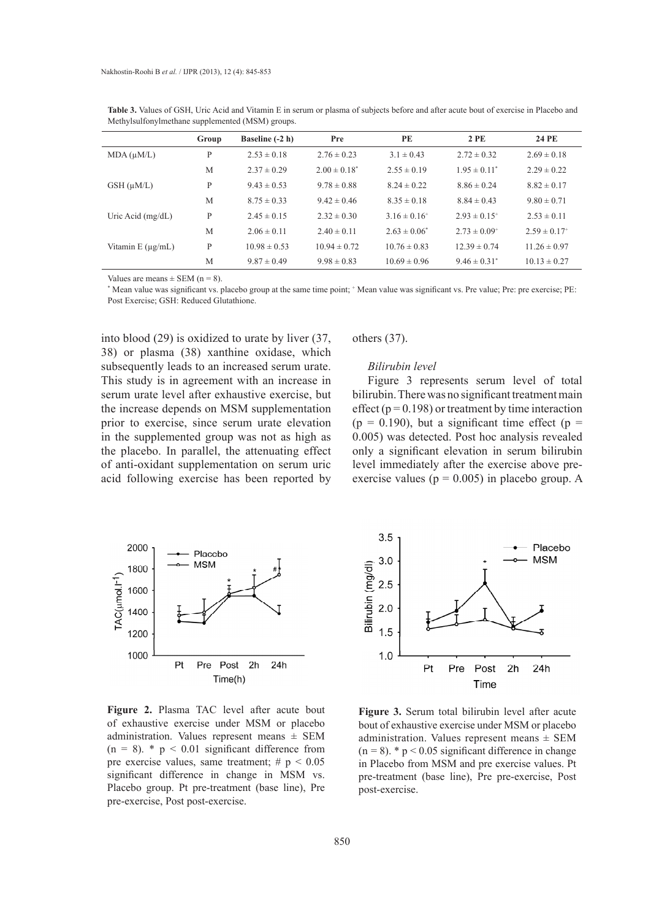|                       | Group | Baseline (-2 h)  | Pre               | <b>PE</b>         | 2PE                          | 24 PE                        |
|-----------------------|-------|------------------|-------------------|-------------------|------------------------------|------------------------------|
| $MDA(\mu M/L)$        | P     | $2.53 \pm 0.18$  | $2.76 \pm 0.23$   | $3.1 \pm 0.43$    | $2.72 \pm 0.32$              | $2.69 \pm 0.18$              |
|                       | M     | $2.37 \pm 0.29$  | $2.00 \pm 0.18^*$ | $2.55 \pm 0.19$   | $1.95 \pm 0.11^*$            | $2.29 \pm 0.22$              |
| $GSH(\mu M/L)$        | P     | $9.43 \pm 0.53$  | $9.78 \pm 0.88$   | $8.24 \pm 0.22$   | $8.86 \pm 0.24$              | $8.82 \pm 0.17$              |
|                       | M     | $8.75 \pm 0.33$  | $9.42 \pm 0.46$   | $8.35 \pm 0.18$   | $8.84 \pm 0.43$              | $9.80 \pm 0.71$              |
| Uric Acid $(mg/dL)$   | P     | $2.45 \pm 0.15$  | $2.32 \pm 0.30$   | $3.16 \pm 0.16^+$ | $2.93 \pm 0.15$ <sup>+</sup> | $2.53 \pm 0.11$              |
|                       | M     | $2.06 \pm 0.11$  | $2.40 \pm 0.11$   | $2.63 \pm 0.06^*$ | $2.73 \pm 0.09$ <sup>+</sup> | $2.59 \pm 0.17$ <sup>+</sup> |
| Vitamin $E(\mu g/mL)$ | P     | $10.98 \pm 0.53$ | $10.94 \pm 0.72$  | $10.76 \pm 0.83$  | $12.39 \pm 0.74$             | $11.26 \pm 0.97$             |
|                       | M     | $9.87 \pm 0.49$  | $9.98 \pm 0.83$   | $10.69 \pm 0.96$  | $9.46 \pm 0.31^*$            | $10.13 \pm 0.27$             |

**Table 3.** Values of GSH, Uric Acid and Vitamin E in serum or plasma of subjects before and after acute bout of exercise in Placebo and Methylsulfonylmethane supplemented (MSM) groups.

Values are means  $\pm$  SEM (n = 8).

\* Mean value was significant vs. placebo group at the same time point; <sup>+</sup> Mean value was significant vs. Pre value; Pre: pre exercise; PE: Post Exercise; GSH: Reduced Glutathione.

into blood (29) is oxidized to urate by liver (37, 38) or plasma (38) xanthine oxidase, which subsequently leads to an increased serum urate. This study is in agreement with an increase in serum urate level after exhaustive exercise, but the increase depends on MSM supplementation prior to exercise, since serum urate elevation in the supplemented group was not as high as the placebo. In parallel, the attenuating effect of anti-oxidant supplementation on serum uric acid following exercise has been reported by

others (37).

## *Bilirubin level*

Figure 3 represents serum level of total bilirubin. There was no significant treatment main effect ( $p = 0.198$ ) or treatment by time interaction  $(p = 0.190)$ , but a significant time effect  $(p = 1.190)$ 0.005) was detected. Post hoc analysis revealed only a significant elevation in serum bilirubin level immediately after the exercise above preexercise values ( $p = 0.005$ ) in placebo group. A



**Figure 2.** Plasma TAC level after acute bout of exhaustive exercise under MSM or placebo administration. Values represent means ± SEM  $(n = 8)$ . \*  $p < 0.01$  significant difference from pre exercise values, same treatment;  $\# p \leq 0.05$ significant difference in change in MSM vs. Placebo group. Pt pre-treatment (base line), Pre pre-exercise, Post post-exercise.



**Figure 3.** Serum total bilirubin level after acute bout of exhaustive exercise under MSM or placebo administration. Values represent means  $\pm$  SEM  $(n = 8)$ . \*  $p < 0.05$  significant difference in change in Placebo from MSM and pre exercise values. Pt pre-treatment (base line), Pre pre-exercise, Post post-exercise.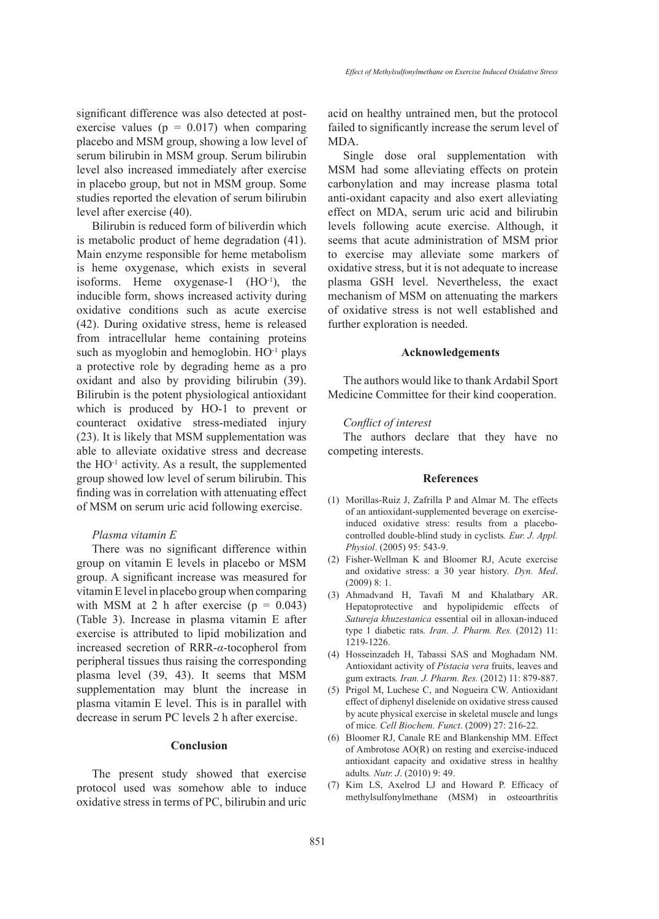significant difference was also detected at postexercise values ( $p = 0.017$ ) when comparing placebo and MSM group, showing a low level of serum bilirubin in MSM group. Serum bilirubin level also increased immediately after exercise in placebo group, but not in MSM group. Some studies reported the elevation of serum bilirubin

level after exercise (40). Bilirubin is reduced form of biliverdin which is metabolic product of heme degradation (41). Main enzyme responsible for heme metabolism is heme oxygenase, which exists in several isoforms. Heme oxygenase-1  $(HO^{-1})$ , the inducible form, shows increased activity during oxidative conditions such as acute exercise (42). During oxidative stress, heme is released from intracellular heme containing proteins such as myoglobin and hemoglobin.  $HO^{-1}$  plays a protective role by degrading heme as a pro oxidant and also by providing bilirubin (39). Bilirubin is the potent physiological antioxidant which is produced by HO-1 to prevent or counteract oxidative stress-mediated injury (23). It is likely that MSM supplementation was able to alleviate oxidative stress and decrease the  $HO^{-1}$  activity. As a result, the supplemented group showed low level of serum bilirubin. This finding was in correlation with attenuating effect of MSM on serum uric acid following exercise.

## *Plasma vitamin E*

There was no significant difference within group on vitamin E levels in placebo or MSM group. A significant increase was measured for vitamin E level in placebo group when comparing with MSM at 2 h after exercise  $(p = 0.043)$ (Table 3). Increase in plasma vitamin E after exercise is attributed to lipid mobilization and increased secretion of RRR-*α*-tocopherol from peripheral tissues thus raising the corresponding plasma level (39, 43). It seems that MSM supplementation may blunt the increase in plasma vitamin E level. This is in parallel with decrease in serum PC levels 2 h after exercise.

# **Conclusion**

The present study showed that exercise protocol used was somehow able to induce oxidative stress in terms of PC, bilirubin and uric acid on healthy untrained men, but the protocol failed to significantly increase the serum level of MDA.

Single dose oral supplementation with MSM had some alleviating effects on protein carbonylation and may increase plasma total anti-oxidant capacity and also exert alleviating effect on MDA, serum uric acid and bilirubin levels following acute exercise. Although, it seems that acute administration of MSM prior to exercise may alleviate some markers of oxidative stress, but it is not adequate to increase plasma GSH level. Nevertheless, the exact mechanism of MSM on attenuating the markers of oxidative stress is not well established and further exploration is needed.

## **Acknowledgements**

The authors would like to thank Ardabil Sport Medicine Committee for their kind cooperation.

# *Conflict of interest*

The authors declare that they have no competing interests.

# **References**

- Morillas-Ruiz J, Zafrilla P and Almar M. The effects (1) of an antioxidant-supplemented beverage on exerciseinduced oxidative stress: results from a placebocontrolled double-blind study in cyclists*. Eur. J. Appl. Physiol*. (2005) 95: 543-9.
- Fisher-Wellman K and Bloomer RJ, Acute exercise (2) and oxidative stress: a 30 year history*. Dyn. Med*.  $(2009)$   $8:1$
- Ahmadvand H, Tavafi M and Khalatbary AR. (3) Hepatoprotective and hypolipidemic effects of *Satureja khuzestanica* essential oil in alloxan-induced type 1 diabetic rats*. Iran. J. Pharm. Res.* (2012) 11: 1219-1226.
- (4) Hosseinzadeh H, Tabassi SAS and Moghadam NM. Antioxidant activity of *Pistacia vera* fruits, leaves and gum extracts*. Iran. J. Pharm. Res.* (2012) 11: 879-887.
- (5) Prigol M, Luchese C, and Nogueira CW. Antioxidant effect of diphenyl diselenide on oxidative stress caused by acute physical exercise in skeletal muscle and lungs of mice*. Cell Biochem. Funct*. (2009) 27: 216-22.
- (6) Bloomer RJ, Canale RE and Blankenship MM. Effect of Ambrotose AO(R) on resting and exercise-induced antioxidant capacity and oxidative stress in healthy adults*. Nutr. J*. (2010) 9: 49.
- (7) Kim LS, Axelrod LJ and Howard P. Efficacy of methylsulfonylmethane (MSM) in osteoarthritis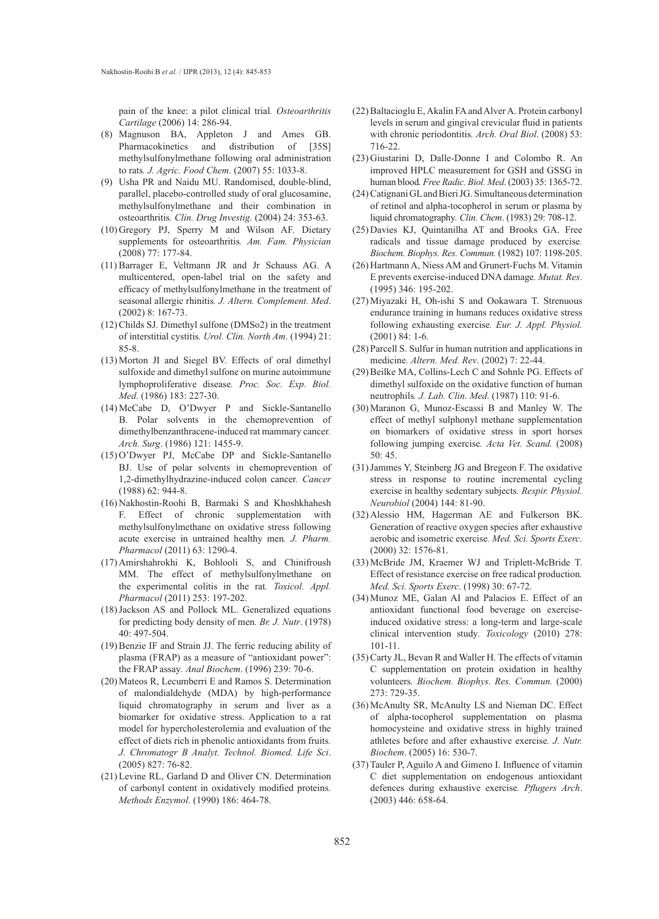pain of the knee: a pilot clinical trial*. Osteoarthritis Cartilage* (2006) 14: 286-94.

- Magnuson BA, Appleton J and Ames GB. (8) Pharmacokinetics and distribution of [35S] methylsulfonylmethane following oral administration to rats*. J. Agric. Food Chem*. (2007) 55: 1033-8.
- Usha PR and Naidu MU. Randomised, double-blind, (9) parallel, placebo-controlled study of oral glucosamine, methylsulfonylmethane and their combination in osteoarthritis*. Clin. Drug Investig.* (2004) 24: 353-63.
- (10) Gregory PJ, Sperry M and Wilson AF. Dietary supplements for osteoarthritis*. Am. Fam. Physician* (2008) 77: 177-84.
- $(11)$  Barrager E, Veltmann JR and Jr Schauss AG. A multicentered, open-label trial on the safety and efficacy of methylsulfonylmethane in the treatment of seasonal allergic rhinitis*. J. Altern. Complement. Med*. (2002) 8: 167-73.
- $(12)$  Childs SJ. Dimethyl sulfone (DMSo2) in the treatment of interstitial cystitis*. Urol. Clin. North Am*. (1994) 21: 85-8.
- $(13)$  Morton JI and Siegel BV. Effects of oral dimethyl sulfoxide and dimethyl sulfone on murine autoimmune lymphoproliferative disease*. Proc. Soc. Exp. Biol. Med*. (1986) 183: 227-30.
- McCabe D, O'Dwyer P and Sickle-Santanello (14) B. Polar solvents in the chemoprevention of dimethylbenzanthracene-induced rat mammary cancer*. Arch. Surg*. (1986) 121: 1455-9.
- $(15)$  O'Dwyer PJ, McCabe DP and Sickle-Santanello BJ. Use of polar solvents in chemoprevention of 1,2-dimethylhydrazine-induced colon cancer*. Cancer* (1988) 62: 944-8.
- (16) Nakhostin-Roohi B, Barmaki S and Khoshkhahesh F. Effect of chronic supplementation with methylsulfonylmethane on oxidative stress following acute exercise in untrained healthy men*. J. Pharm. Pharmacol* (2011) 63: 1290-4.
- (17) Amirshahrokhi K, Bohlooli S, and Chinifroush MM. The effect of methylsulfonylmethane on the experimental colitis in the rat*. Toxicol. Appl. Pharmacol* (2011) 253: 197-202.
- (18) Jackson AS and Pollock ML. Generalized equations for predicting body density of men*. Br. J. Nutr*. (1978) 40: 497-504.
- (19) Benzie IF and Strain JJ. The ferric reducing ability of plasma (FRAP) as a measure of "antioxidant power": the FRAP assay*. Anal Biochem*. (1996) 239: 70-6.
- $(20)$  Mateos R, Lecumberri E and Ramos S. Determination of malondialdehyde (MDA) by high-performance liquid chromatography in serum and liver as a biomarker for oxidative stress. Application to a rat model for hypercholesterolemia and evaluation of the effect of diets rich in phenolic antioxidants from fruits*. J. Chromatogr B Analyt. Technol. Biomed. Life Sci*. (2005) 827: 76-82.
- (21) Levine RL, Garland D and Oliver CN. Determination of carbonyl content in oxidatively modified proteins*. Methods Enzymol.* (1990) 186: 464-78.
- $(22)$  Baltacioglu E, Akalin FA and Alver A. Protein carbonyl levels in serum and gingival crevicular fluid in patients with chronic periodontitis*. Arch. Oral Biol*. (2008) 53: 716-22.
- (23) Giustarini D, Dalle-Donne I and Colombo R. An improved HPLC measurement for GSH and GSSG in human blood*. Free Radic. Biol. Med*. (2003) 35: 1365-72.
- Catignani GL and Bieri JG. Simultaneous determination (24) of retinol and alpha-tocopherol in serum or plasma by liquid chromatography*. Clin. Chem*. (1983) 29: 708-12.
- $(25)$  Davies KJ, Quintanilha AT and Brooks GA. Free radicals and tissue damage produced by exercise*. Biochem. Biophys. Res. Commun.* (1982) 107: 1198-205.
- (26) Hartmann A, Niess AM and Grunert-Fuchs M. Vitamin E prevents exercise-induced DNA damage*. Mutat. Res*. (1995) 346: 195-202.
- (27) Miyazaki H, Oh-ishi S and Ookawara T. Strenuous endurance training in humans reduces oxidative stress following exhausting exercise*. Eur. J. Appl. Physiol.* (2001) 84: 1-6.
- (28) Parcell S. Sulfur in human nutrition and applications in medicine*. Altern. Med. Rev*. (2002) 7: 22-44.
- (29) Beilke MA, Collins-Lech C and Sohnle PG. Effects of dimethyl sulfoxide on the oxidative function of human neutrophils*. J. Lab. Clin. Med*. (1987) 110: 91-6.
- $(30)$  Maranon G, Munoz-Escassi B and Manley W. The effect of methyl sulphonyl methane supplementation on biomarkers of oxidative stress in sport horses following jumping exercise*. Acta Vet. Scand.* (2008) 50: 45.
- (31) Jammes Y, Steinberg JG and Bregeon F. The oxidative stress in response to routine incremental cycling exercise in healthy sedentary subjects*. Respir. Physiol. Neurobiol* (2004) 144: 81-90.
- $(32)$  Alessio HM, Hagerman AE and Fulkerson BK. Generation of reactive oxygen species after exhaustive aerobic and isometric exercise*. Med. Sci. Sports Exerc*. (2000) 32: 1576-81.
- (33) McBride JM, Kraemer WJ and Triplett-McBride T. Effect of resistance exercise on free radical production*. Med. Sci. Sports Exerc*. (1998) 30: 67-72.
- Munoz ME, Galan AI and Palacios E. Effect of an (34) antioxidant functional food beverage on exerciseinduced oxidative stress: a long-term and large-scale clinical intervention study*. Toxicology* (2010) 278: 101-11.
- (35) Carty JL, Bevan R and Waller H. The effects of vitamin C supplementation on protein oxidation in healthy volunteers*. Biochem. Biophys. Res. Commun.* (2000) 273: 729-35.
- (36) McAnulty SR, McAnulty LS and Nieman DC. Effect of alpha-tocopherol supplementation on plasma homocysteine and oxidative stress in highly trained athletes before and after exhaustive exercise*. J. Nutr. Biochem*. (2005) 16: 530-7.
- (37) Tauler P, Aguilo A and Gimeno I. Influence of vitamin C diet supplementation on endogenous antioxidant defences during exhaustive exercise*. Pflugers Arch*. (2003) 446: 658-64.